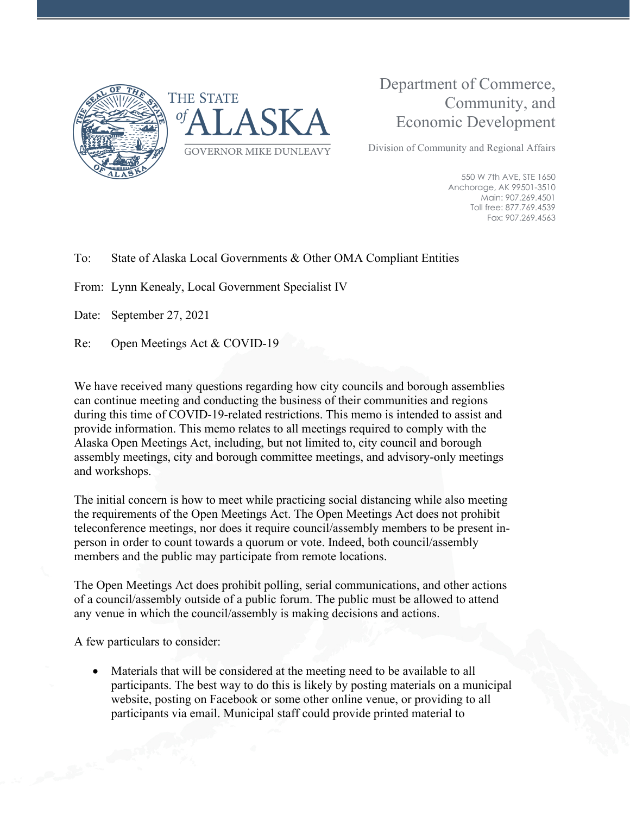



## Department of Commerce, Community, and Economic Development

Division of Community and Regional Affairs

550 W 7th AVE, STE 1650 Anchorage, AK 99501-3510 Main: 907.269.4501 Toll free: 877.769.4539 Fax: 907.269.4563

## To: State of Alaska Local Governments & Other OMA Compliant Entities

From: Lynn Kenealy, Local Government Specialist IV

Date: September 27, 2021

Re: Open Meetings Act & COVID-19

We have received many questions regarding how city councils and borough assemblies can continue meeting and conducting the business of their communities and regions during this time of COVID-19-related restrictions. This memo is intended to assist and provide information. This memo relates to all meetings required to comply with the Alaska Open Meetings Act, including, but not limited to, city council and borough assembly meetings, city and borough committee meetings, and advisory-only meetings and workshops.

The initial concern is how to meet while practicing social distancing while also meeting the requirements of the Open Meetings Act. The Open Meetings Act does not prohibit teleconference meetings, nor does it require council/assembly members to be present inperson in order to count towards a quorum or vote. Indeed, both council/assembly members and the public may participate from remote locations.

The Open Meetings Act does prohibit polling, serial communications, and other actions of a council/assembly outside of a public forum. The public must be allowed to attend any venue in which the council/assembly is making decisions and actions.

A few particulars to consider:

• Materials that will be considered at the meeting need to be available to all participants. The best way to do this is likely by posting materials on a municipal website, posting on Facebook or some other online venue, or providing to all participants via email. Municipal staff could provide printed material to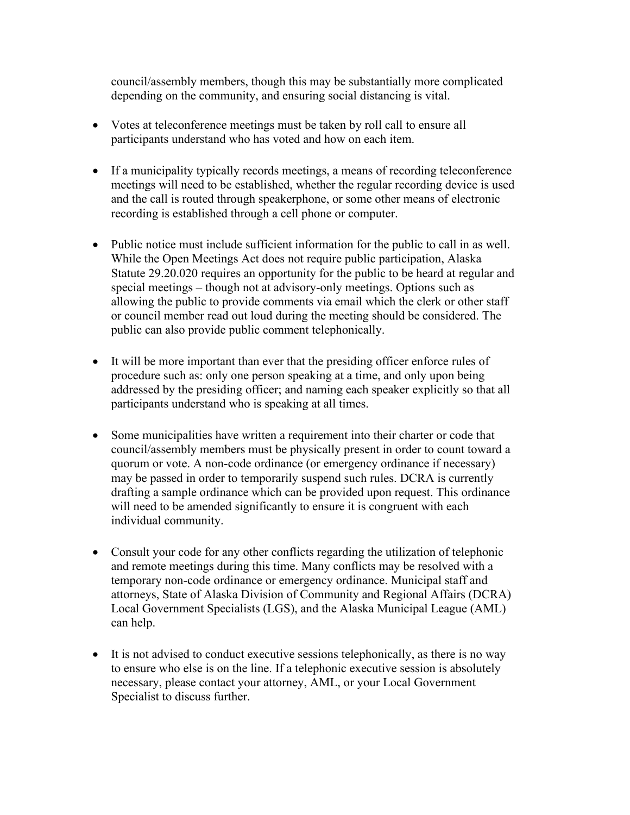council/assembly members, though this may be substantially more complicated depending on the community, and ensuring social distancing is vital.

- Votes at teleconference meetings must be taken by roll call to ensure all participants understand who has voted and how on each item.
- If a municipality typically records meetings, a means of recording teleconference meetings will need to be established, whether the regular recording device is used and the call is routed through speakerphone, or some other means of electronic recording is established through a cell phone or computer.
- Public notice must include sufficient information for the public to call in as well. While the Open Meetings Act does not require public participation, Alaska Statute 29.20.020 requires an opportunity for the public to be heard at regular and special meetings – though not at advisory-only meetings. Options such as allowing the public to provide comments via email which the clerk or other staff or council member read out loud during the meeting should be considered. The public can also provide public comment telephonically.
- It will be more important than ever that the presiding officer enforce rules of procedure such as: only one person speaking at a time, and only upon being addressed by the presiding officer; and naming each speaker explicitly so that all participants understand who is speaking at all times.
- Some municipalities have written a requirement into their charter or code that council/assembly members must be physically present in order to count toward a quorum or vote. A non-code ordinance (or emergency ordinance if necessary) may be passed in order to temporarily suspend such rules. DCRA is currently drafting a sample ordinance which can be provided upon request. This ordinance will need to be amended significantly to ensure it is congruent with each individual community.
- Consult your code for any other conflicts regarding the utilization of telephonic and remote meetings during this time. Many conflicts may be resolved with a temporary non-code ordinance or emergency ordinance. Municipal staff and attorneys, State of Alaska Division of Community and Regional Affairs (DCRA) Local Government Specialists (LGS), and the Alaska Municipal League (AML) can help.
- It is not advised to conduct executive sessions telephonically, as there is no way to ensure who else is on the line. If a telephonic executive session is absolutely necessary, please contact your attorney, AML, or your Local Government Specialist to discuss further.